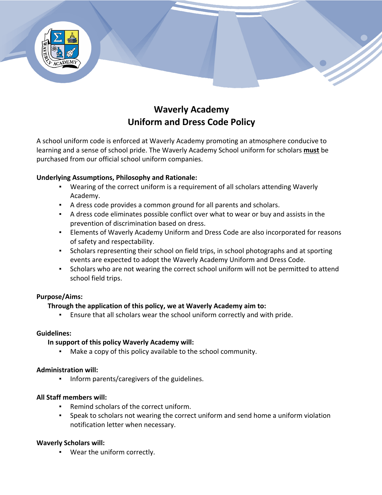

# **Waverly Academy Uniform and Dress Code Policy**

A school uniform code is enforced at Waverly Academy promoting an atmosphere conducive to learning and a sense of school pride. The Waverly Academy School uniform for scholars **must** be purchased from our official school uniform companies.

#### **Underlying Assumptions, Philosophy and Rationale:**

- Wearing of the correct uniform is a requirement of all scholars attending Waverly Academy.
- A dress code provides a common ground for all parents and scholars.
- A dress code eliminates possible conflict over what to wear or buy and assists in the prevention of discrimination based on dress.
- **Elements of Waverly Academy Uniform and Dress Code are also incorporated for reasons** of safety and respectability.
- Scholars representing their school on field trips, in school photographs and at sporting events are expected to adopt the Waverly Academy Uniform and Dress Code.
- Scholars who are not wearing the correct school uniform will not be permitted to attend school field trips.

## **Purpose/Aims:**

## **Through the application of this policy, we at Waverly Academy aim to:**

▪ Ensure that all scholars wear the school uniform correctly and with pride.

#### **Guidelines:**

#### **In support of this policy Waverly Academy will:**

Make a copy of this policy available to the school community.

#### **Administration will:**

▪ Inform parents/caregivers of the guidelines.

#### **All Staff members will:**

- Remind scholars of the correct uniform.
- Speak to scholars not wearing the correct uniform and send home a uniform violation notification letter when necessary.

#### **Waverly Scholars will:**

▪ Wear the uniform correctly.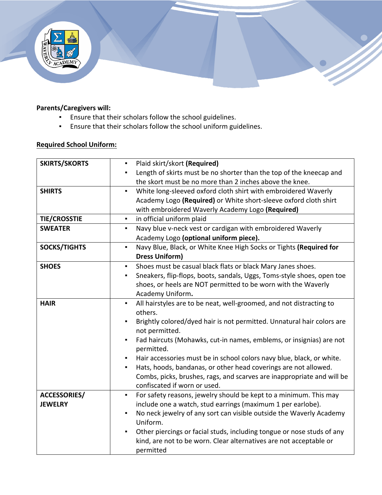

# **Parents/Caregivers will:**

- Ensure that their scholars follow the school guidelines.
- Ensure that their scholars follow the school uniform guidelines.

# **Required School Uniform:**

| <b>SKIRTS/SKORTS</b> | Plaid skirt/skort (Required)<br>$\blacksquare$                                           |
|----------------------|------------------------------------------------------------------------------------------|
|                      |                                                                                          |
|                      | Length of skirts must be no shorter than the top of the kneecap and                      |
|                      | the skort must be no more than 2 inches above the knee.                                  |
| <b>SHIRTS</b>        | White long-sleeved oxford cloth shirt with embroidered Waverly<br>$\blacksquare$         |
|                      | Academy Logo (Required) or White short-sleeve oxford cloth shirt                         |
|                      | with embroidered Waverly Academy Logo (Required)                                         |
| <b>TIE/CROSSTIE</b>  | in official uniform plaid<br>$\blacksquare$                                              |
| <b>SWEATER</b>       | Navy blue v-neck vest or cardigan with embroidered Waverly<br>$\blacksquare$             |
|                      | Academy Logo (optional uniform piece).                                                   |
| <b>SOCKS/TIGHTS</b>  | Navy Blue, Black, or White Knee High Socks or Tights (Required for<br>$\blacksquare$     |
|                      | <b>Dress Uniform)</b>                                                                    |
| <b>SHOES</b>         | Shoes must be casual black flats or black Mary Janes shoes.<br>$\blacksquare$            |
|                      | Sneakers, flip-flops, boots, sandals, Uggs, Toms-style shoes, open toe<br>$\blacksquare$ |
|                      | shoes, or heels are NOT permitted to be worn with the Waverly                            |
|                      | Academy Uniform.                                                                         |
| <b>HAIR</b>          | All hairstyles are to be neat, well-groomed, and not distracting to<br>$\blacksquare$    |
|                      | others.                                                                                  |
|                      | Brightly colored/dyed hair is not permitted. Unnatural hair colors are                   |
|                      | not permitted.                                                                           |
|                      | Fad haircuts (Mohawks, cut-in names, emblems, or insignias) are not<br>$\blacksquare$    |
|                      | permitted.                                                                               |
|                      | Hair accessories must be in school colors navy blue, black, or white.<br>$\blacksquare$  |
|                      | Hats, hoods, bandanas, or other head coverings are not allowed.<br>$\blacksquare$        |
|                      | Combs, picks, brushes, rags, and scarves are inappropriate and will be                   |
|                      | confiscated if worn or used.                                                             |
| <b>ACCESSORIES/</b>  | For safety reasons, jewelry should be kept to a minimum. This may<br>$\blacksquare$      |
| <b>JEWELRY</b>       | include one a watch, stud earrings (maximum 1 per earlobe).                              |
|                      | No neck jewelry of any sort can visible outside the Waverly Academy<br>$\blacksquare$    |
|                      | Uniform.                                                                                 |
|                      | Other piercings or facial studs, including tongue or nose studs of any                   |
|                      | kind, are not to be worn. Clear alternatives are not acceptable or                       |
|                      | permitted                                                                                |
|                      |                                                                                          |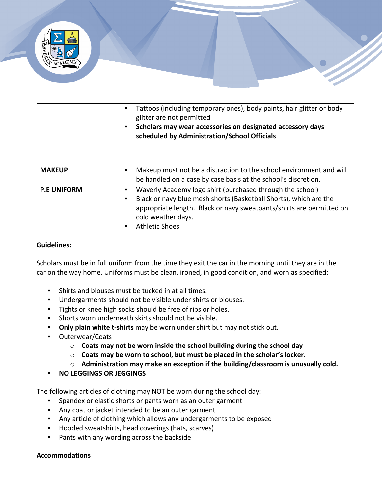

|                    | Tattoos (including temporary ones), body paints, hair glitter or body<br>glitter are not permitted<br>Scholars may wear accessories on designated accessory days<br>$\blacksquare$<br>scheduled by Administration/School Officials                    |
|--------------------|-------------------------------------------------------------------------------------------------------------------------------------------------------------------------------------------------------------------------------------------------------|
| <b>MAKEUP</b>      | Makeup must not be a distraction to the school environment and will<br>be handled on a case by case basis at the school's discretion.                                                                                                                 |
| <b>P.E UNIFORM</b> | Waverly Academy logo shirt (purchased through the school)<br>Black or navy blue mesh shorts (Basketball Shorts), which are the<br>appropriate length. Black or navy sweatpants/shirts are permitted on<br>cold weather days.<br><b>Athletic Shoes</b> |

#### **Guidelines:**

Scholars must be in full uniform from the time they exit the car in the morning until they are in the car on the way home. Uniforms must be clean, ironed, in good condition, and worn as specified:

- Shirts and blouses must be tucked in at all times.
- Undergarments should not be visible under shirts or blouses.
- Tights or knee high socks should be free of rips or holes.
- Shorts worn underneath skirts should not be visible.
- **Only plain white t-shirts** may be worn under shirt but may not stick out.
- Outerwear/Coats
	- o **Coats may not be worn inside the school building during the school day**
	- o **Coats may be worn to school, but must be placed in the scholar's locker.**
	- o **Administration may make an exception if the building/classroom is unusually cold.**
- **NO LEGGINGS OR JEGGINGS**

The following articles of clothing may NOT be worn during the school day:

- Spandex or elastic shorts or pants worn as an outer garment
- Any coat or jacket intended to be an outer garment
- Any article of clothing which allows any undergarments to be exposed
- Hooded sweatshirts, head coverings (hats, scarves)
- Pants with any wording across the backside

#### **Accommodations**